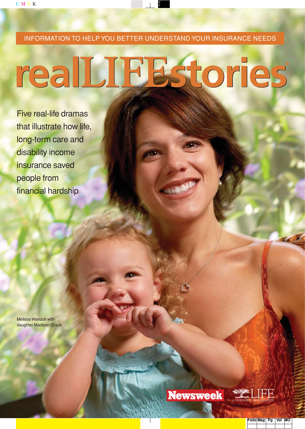INFORMATION TO HELP YOU BETTER UNDERSTAND YOUR INSURANCE NEEDS

# realLIBEstories

Five real-life dramas that illustrate how life, long-term care and disability income insurance saved people from financial hardship

Melissa Wandall with daughter Madison Grace

**Newsweek** 

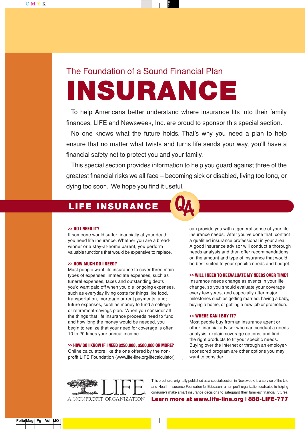# **INSURANCE** The Foundation of a Sound Financial Plan

To help Americans better understand where insurance fits into their family finances, LIFE and Newsweek, Inc. are proud to sponsor this special section.

No one knows what the future holds. That's why you need a plan to help ensure that no matter what twists and turns life sends your way, you'll have a financial safety net to protect you and your family.

This special section provides information to help you guard against three of the greatest financial risks we all face – becoming sick or disabled, living too long, or dying too soon. We hope you find it useful.

## **LIFE INSURANCE**



If someone would suffer financially at your death, you need life insurance. Whether you are a breadwinner or a stay-at-home parent, you perform valuable functions that would be expensive to replace.

#### **>> HOW MUCH DO I NEED?**

Most people want life insurance to cover three main types of expenses: immediate expenses, such as funeral expenses, taxes and outstanding debts you'd want paid off when you die; ongoing expenses, such as everyday living costs for things like food, transportation, mortgage or rent payments, and; future expenses, such as money to fund a collegeor retirement-savings plan. When you consider all the things that life insurance proceeds need to fund and how long the money would be needed, you begin to realize that your need for coverage is often 10 to 20 times your annual income.

#### **>> HOW DO I KNOW IF I NEED \$250,000, \$500,000 OR MORE?**

Online calculators like the one offered by the nonprofit LIFE Foundation (www.life-line.org/lifecalculator) can provide you with a general sense of your life insurance needs. After you've done that, contact a qualified insurance professional in your area. A good insurance advisor will conduct a thorough needs analysis and then offer recommendations on the amount and type of insurance that would be best suited to your specific needs and budget.

#### **>> WILL I NEED TO REEVALUATE MY NEEDS OVER TIME?**

Insurance needs change as events in your life change, so you should evaluate your coverage every few years, and especially after major milestones such as getting married, having a baby, buying a home, or getting a new job or promotion.

#### **>> WHERE CAN I BUY IT?**

Most people buy from an insurance agent or other financial advisor who can conduct a needs analysis, explain coverage options, and find the right products to fit your specific needs. Buying over the Internet or through an employersponsored program are other options you may want to consider.



This brochure, originally published as a special section in Newsweek, is a service of the Life and Health Insurance Foundation for Education, a non-profit organization dedicated to helping consumers make smart insurance decisions to safeguard their families' financial futures.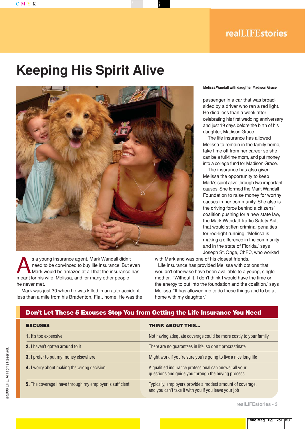# **Keeping His Spirit Alive**



s a young insurance agent, Mark Wandall didn't<br>need to be convinced to buy life insurance. But e<br>Mark would be amazed at all that the insurance<br>meant for his wife. Melisse, and for many other people. need to be convinced to buy life insurance. But even Mark would be amazed at all that the insurance has meant for his wife, Melissa, and for many other people he never met.

Mark was just 30 when he was killed in an auto accident less than a mile from his Bradenton, Fla., home. He was the

#### **Melissa Wandall with daughter Madison Grace**

passenger in a car that was broadsided by a driver who ran a red light. He died less than a week after celebrating his first wedding anniversary and just 19 days before the birth of his daughter, Madison Grace.

The life insurance has allowed Melissa to remain in the family home, take time off from her career so she can be a full-time mom, and put money into a college fund for Madison Grace.

The insurance has also given Melissa the opportunity to keep Mark's spirit alive through two important causes. She formed the Mark Wandall Foundation to raise money for worthy causes in her community. She also is the driving force behind a citizens' coalition pushing for a new state law, the Mark Wandall Traffic Safety Act, that would stiffen criminal penalties for red-light running. "Melissa is making a difference in the community and in the state of Florida," says Joseph St. Onge, ChFC, who worked

with Mark and was one of his closest friends.

Life insurance has provided Melissa with options that wouldn't otherwise have been available to a young, single mother. "Without it, I don't think I would have the time or the energy to put into the foundation and the coalition," says Melissa. "It has allowed me to do these things and to be at home with my daughter."

#### **Don't Let These 5 Excuses Stop You from Getting the Life Insurance You Need**

| <b>EXCUSES</b>                                           | <b>THINK ABOUT THIS</b>                                                                                           |  |
|----------------------------------------------------------|-------------------------------------------------------------------------------------------------------------------|--|
| <b>1.</b> It's too expensive                             | Not having adequate coverage could be more costly to your family                                                  |  |
| <b>2.</b> I haven't gotten around to it                  | There are no quarantees in life, so don't procrastinate                                                           |  |
| 3. I prefer to put my money elsewhere                    | Might work if you're sure you're going to live a nice long life                                                   |  |
| <b>4.</b> I worry about making the wrong decision        | A qualified insurance professional can answer all your<br>questions and guide you through the buying process      |  |
| 5. The coverage I have through my employer is sufficient | Typically, employers provide a modest amount of coverage,<br>and you can't take it with you if you leave your job |  |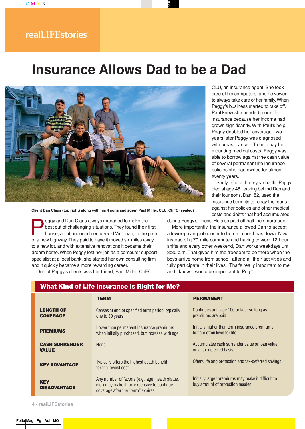### realLIFEstories

## **Insurance Allows Dad to be a Dad**



**Client Dan Claus (top right) along with his 4 sons and agent Paul Miller, CLU, ChFC (seated)**

eggy and Dan Claus always managed to make the<br>best out of challenging situations. They found their<br>house, an abandoned century-old Victorian, in the<br>of a new bighway They paid to have it moved six miles aw best out of challenging situations.They found their first house, an abandoned century-old Victorian, in the path of a new highway.They paid to have it moved six miles away to a new lot, and with extensive renovations it became their dream home.When Peggy lost her job as a computer support specialist at a local bank, she started her own consulting firm and it quickly became a more rewarding career.

One of Peggy's clients was her friend, Paul Miller, ChFC,

CLU, an insurance agent. She took care of his computers, and he vowed to always take care of her family.When Peggy's business started to take off, Paul knew she needed more life insurance because her income had grown significantly. With Paul's help, Peggy doubled her coverage. Two years later Peggy was diagnosed with breast cancer. To help pay her mounting medical costs, Peggy was able to borrow against the cash value of several permanent life insurance policies she had owned for almost twenty years.

Sadly, after a three-year battle, Peggy died at age 48, leaving behind Dan and their four sons. Dan, 52, used the insurance benefits to repay the loans against her policies and other medical costs and debts that had accumulated

during Peggy's illness. He also paid off half their mortgage.

More importantly, the insurance allowed Dan to accept a lower-paying job closer to home in northeast Iowa. Now instead of a 70-mile commute and having to work 12-hour shifts and every other weekend, Dan works weekdays until 3:30 p.m. That gives him the freedom to be there when the boys arrive home from school, attend all their activities and fully participate in their lives. "That's really important to me, and I know it would be important to Peg."

|                                       | <b>TERM</b>                                                                                                                          | <b>PERMANENT</b>                                                                      |
|---------------------------------------|--------------------------------------------------------------------------------------------------------------------------------------|---------------------------------------------------------------------------------------|
| <b>LENGTH OF</b><br><b>COVERAGE</b>   | Ceases at end of specified term period, typically<br>one to 30 years                                                                 | Continues until age 100 or later so long as<br>premiums are paid                      |
| <b>PREMIUMS</b>                       | Lower than permanent insurance premiums<br>when initially purchased, but increase with age                                           | Initially higher than term insurance premiums,<br>but are often level for life        |
| <b>CASH SURRENDER</b><br><b>VALUE</b> | <b>None</b>                                                                                                                          | Accumulates cash surrender value or loan value<br>on a tax-deferred basis             |
| <b>KEY ADVANTAGE</b>                  | Typically offers the highest death benefit<br>for the lowest cost                                                                    | Offers lifelong protection and tax-deferred savings                                   |
| <b>KEY</b><br><b>DISADVANTAGE</b>     | Any number of factors (e.g., age, health status,<br>etc.) may make it too expensive to continue<br>coverage after the "term" expires | Initially larger premiums may make it difficult to<br>buy amount of protection needed |

#### **What Kind of Life Insurance is Right for Me?**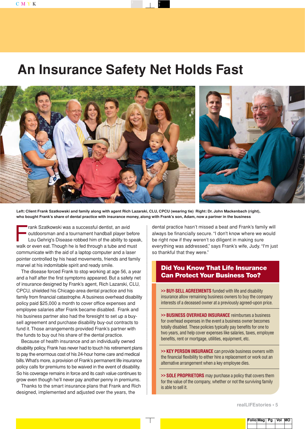## **An Insurance Safety Net Holds Fast**



**Left: Client Frank Szatkowski and family along with agent Rich Lazarski, CLU, CPCU (wearing tie) Right: Dr. John Mackenbach (right), who bought Frank's share of dental practice with insurance money, along with Frank's son, Adam, now a partner in the business**

rank Szatkowski was a successful dentist, an avid<br>
outdoorsman and a tournament handball player be<br>
Lou Gehrig's Disease robbed him of the ability to s<br>
walk or even est. Though he is fed through a tube and m outdoorsman and a tournament handball player before Lou Gehrig's Disease robbed him of the ability to speak, walk or even eat.Though he is fed through a tube and must communicate with the aid of a laptop computer and a laser pointer controlled by his head movements, friends and family marvel at his indomitable spirit and ready smile.

The disease forced Frank to stop working at age 56, a year and a half after the first symptoms appeared. But a safety net of insurance designed by Frank's agent, Rich Lazarski, CLU, CPCU, shielded his Chicago-area dental practice and his family from financial catastrophe. A business overhead disability policy paid \$25,000 a month to cover office expenses and employee salaries after Frank became disabled. Frank and his business partner also had the foresight to set up a buysell agreement and purchase disability buy-out contracts to fund it. Those arrangements provided Frank's partner with the funds to buy out his share of the dental practice.

Because of health insurance and an individually owned disability policy, Frank has never had to touch his retirement plans to pay the enormous cost of his 24-hour home care and medical bills.What's more, a provision of Frank's permanent life insurance policy calls for premiums to be waived in the event of disability. So his coverage remains in force and its cash value continues to grow even though he'll never pay another penny in premiums.

Thanks to the smart insurance plans that Frank and Rich designed, implemented and adjusted over the years, the

dental practice hasn't missed a beat and Frank's family will always be financially secure. "I don't know where we would be right now if they weren't so diligent in making sure everything was addressed," says Frank's wife, Judy. "I'm just so thankful that they were."

#### **Did You Know That Life Insurance Can Protect Your Business Too?**

**>> BUY-SELL AGREEMENTS** funded with life and disability insurance allow remaining business owners to buy the company interests of a deceased owner at a previously agreed-upon price.

**>> BUSINESS OVERHEAD INSURANCE** reimburses a business for overhead expenses in the event a business owner becomes totally disabled. These policies typically pay benefits for one to two years, and help cover expenses like salaries, taxes, employee benefits, rent or mortgage, utilities, equipment, etc.

**>> KEY PERSON INSURANCE** can provide business owners with the financial flexibility to either hire a replacement or work out an alternative arrangement when a key employee dies.

**>> SOLE PROPRIETORS** may purchase a policy that covers them for the value of the company, whether or not the surviving family is able to sell it.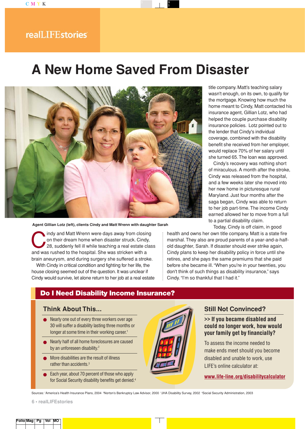# **A New Home Saved From Disaster**



#### **Agent Gillian Lotz (left), clients Cindy and Matt Wrenn with daughter Sarah**

Indy and Matt Wrenn were days away from closing<br>on their dream home when disaster struck. Cindy,<br>28, suddenly fell ill while teaching a real estate cla<br>and was rushed to the bosnital. She was stricken with a on their dream home when disaster struck. Cindy, 28, suddenly fell ill while teaching a real estate class and was rushed to the hospital. She was stricken with a brain aneurysm, and during surgery she suffered a stroke.

With Cindy in critical condition and fighting for her life, the house closing seemed out of the question. It was unclear if Cindy would survive, let alone return to her job at a real estate title company. Matt's teaching salary wasn't enough, on its own, to qualify for the mortgage. Knowing how much the home meant to Cindy, Matt contacted his insurance agent, Gillian Lotz, who had helped the couple purchase disability insurance policies. Lotz pointed out to the lender that Cindy's individual coverage, combined with the disability benefit she received from her employer, would replace 70% of her salary until she turned 65.The loan was approved.

Cindy's recovery was nothing short of miraculous. A month after the stroke, Cindy was released from the hospital, and a few weeks later she moved into her new home in picturesque rural Maryland. Just four months after the saga began, Cindy was able to return to her job part-time. The income Cindy earned allowed her to move from a full to a partial disability claim.

Today, Cindy is off claim, in good

health and owns her own title company. Matt is a state fire marshal. They also are proud parents of a year-and-a-halfold daughter, Sarah. If disaster should ever strike again, Cindy plans to keep her disability policy in force until she retires, and she pays the same premiums that she paid before she became ill. "When you're in your twenties, you don't think of such things as disability insurance," says Cindy. "I'm so thankful that I had it."

#### **Do I Need Disability Income Insurance?**

#### **Think About This...**

- Nearly one out of every three workers over age 30 will suffer a disability lasting three months or longer at some time in their working career.<sup>1</sup>
- Nearly half of all home foreclosures are caused by an unforeseen disability.<sup>2</sup>
- More disabilities are the result of illness rather than accidents.3
- Each year, about 70 percent of those who apply for Social Security disability benefits get denied.4



#### **Still Not Convinced?**

**>> If you became disabled and could no longer work, how would your family get by financially?**

To assess the income needed to make ends meet should you become disabled and unable to work, use LIFE's online calculator at:

**www.life-line.org/disabilitycalculator**

Sources: 'America's Health Insurance Plans, 2004 RNorton's Bankruptcy Law Advisor, 2000 JHA Disability Survey, 2002 4Social Security Administration, 2003